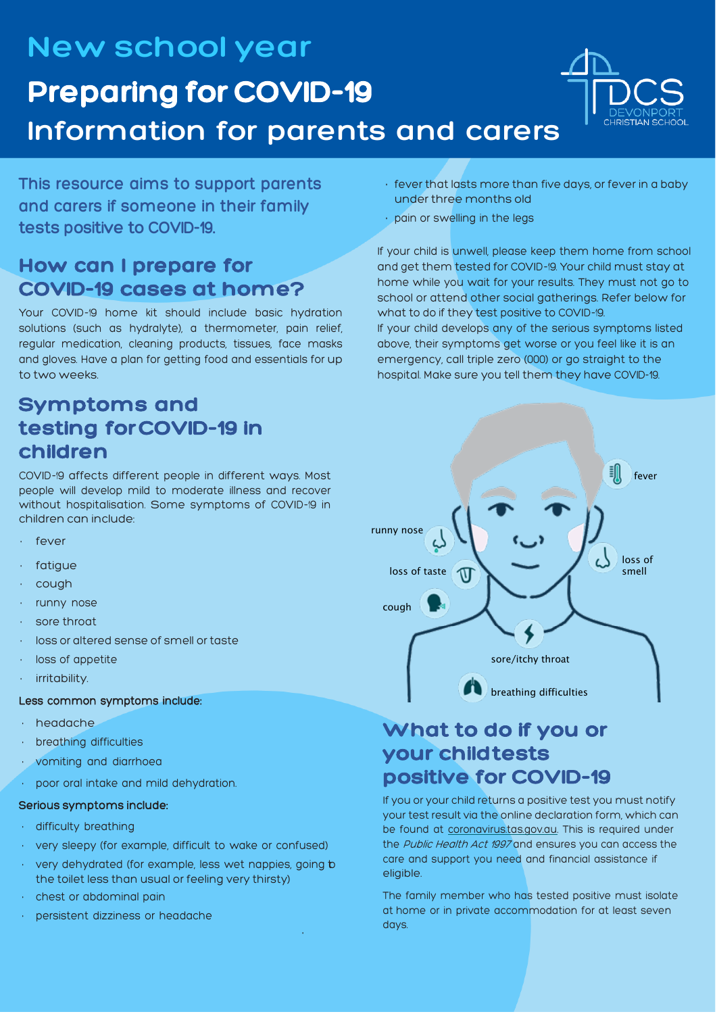**New school year Preparing for COVID-19 Information for parents and carers**



**This resource aims to support parents and carers if someone in their family tests positive to COVID-19.**

# **How can I prepare for COVID-19 cases at home?**

Your COVID-19 home kit should include basic hydration solutions (such as hydralyte), a thermometer, pain relief, regular medication, cleaning products, tissues, face masks and gloves. Have a plan for getting food and essentials for up to two weeks.

# **Symptoms and testing forCOVID-19 in children**

COVID-19 affects different people in different ways. Most people will develop mild to moderate illness and recover without hospitalisation. Some symptoms of COVID-19 in children can include:

- fever
- fatiaue
- cough
- runny nose
- sore throat
- loss or altered sense of smell or taste
- loss of appetite
- irritability.

### Less common symptoms include:

- headache
- breathing difficulties
- vomiting and diarrhoea
- poor oral intake and mild dehydration.

### Serious symptoms include:

- difficulty breathing
- very sleepy (for example, difficult to wake or confused)
- very dehydrated (for example, less wet nappies, going b the toilet less than usual or feeling very thirsty)

•

- chest or abdominal pain
- persistent dizziness or headache
- fever that lasts more than five days, or fever in a baby under three months old
- pain or swelling in the legs

If your child is unwell, please keep them home from school and get them tested for COVID-19. Your child must stay at home while you wait for your results. They must not go to school or attend other social gatherings. Refer below for what to do if they test positive to COVID-19.

If your child develops any of the serious symptoms listed above, their symptoms get worse or you feel like it is an emergency, call triple zero (000) or go straight to the hospital. Make sure you tell them they have COVID-19.



# **What to do if you or your child tests positive for COVID-19**

If you or your child returns a positive test you must notify your test result via the online declaration form, which can be found at coronavirus.tas.gov.au. This is required under the Public Health Act 1997 and ensures you can access the care and support you need and financial assistance if eligible.

The family member who has tested positive must isolate at home or in private accommodation for at least seven days.